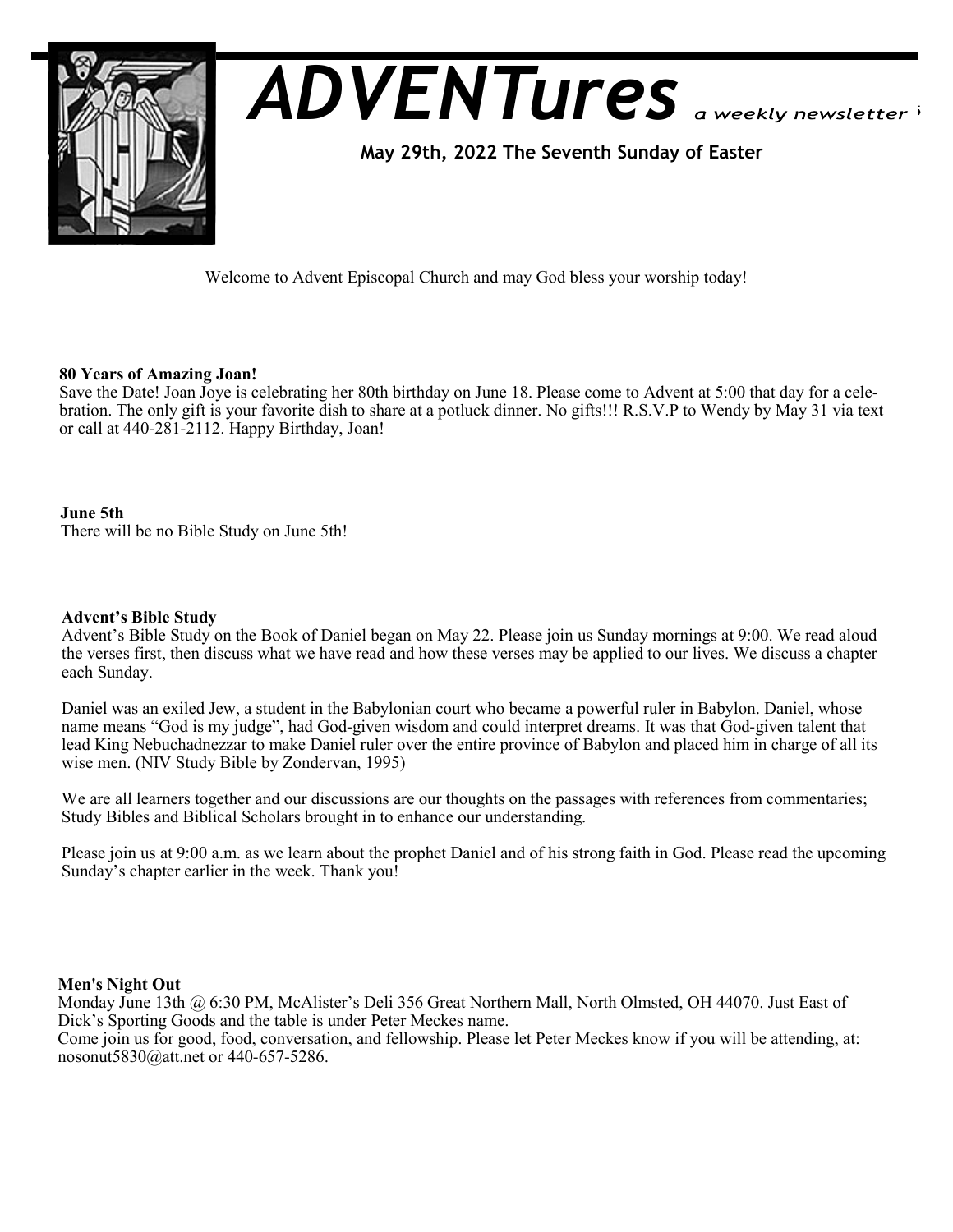

# *ADVENTures*

 **May 29th, 2022 The Seventh Sunday of Easter** 

Welcome to Advent Episcopal Church and may God bless your worship today!

## **80 Years of Amazing Joan!**

Save the Date! Joan Joye is celebrating her 80th birthday on June 18. Please come to Advent at 5:00 that day for a celebration. The only gift is your favorite dish to share at a potluck dinner. No gifts!!! R.S.V.P to Wendy by May 31 via text or call at 440-281-2112. Happy Birthday, Joan!

## **June 5th**

There will be no Bible Study on June 5th!

#### **Advent's Bible Study**

Advent's Bible Study on the Book of Daniel began on May 22. Please join us Sunday mornings at 9:00. We read aloud the verses first, then discuss what we have read and how these verses may be applied to our lives. We discuss a chapter each Sunday.

Daniel was an exiled Jew, a student in the Babylonian court who became a powerful ruler in Babylon. Daniel, whose name means "God is my judge", had God-given wisdom and could interpret dreams. It was that God-given talent that lead King Nebuchadnezzar to make Daniel ruler over the entire province of Babylon and placed him in charge of all its wise men. (NIV Study Bible by Zondervan, 1995)

We are all learners together and our discussions are our thoughts on the passages with references from commentaries; Study Bibles and Biblical Scholars brought in to enhance our understanding.

Please join us at 9:00 a.m. as we learn about the prophet Daniel and of his strong faith in God. Please read the upcoming Sunday's chapter earlier in the week. Thank you!

## **Men's Night Out**

Monday June 13th @ 6:30 PM, McAlister's Deli 356 Great Northern Mall, North Olmsted, OH 44070. Just East of Dick's Sporting Goods and the table is under Peter Meckes name.

Come join us for good, food, conversation, and fellowship. Please let Peter Meckes know if you will be attending, at: nosonut5830@att.net or 440-657-5286.